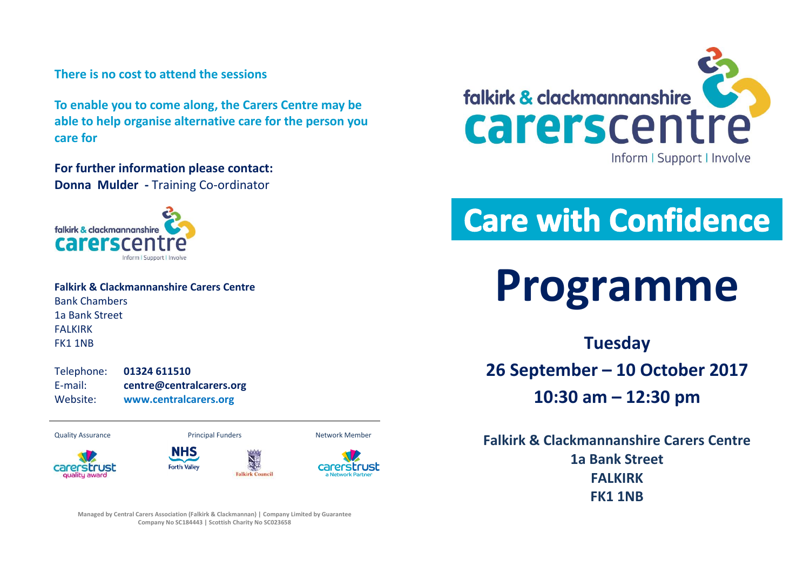### **There is no cost to attend the sessions**

**To enable you to come along, the Carers Centre may be able to help organise alternative care for the person you care for**

**For further information please contact: Donna Mulder -** Training Co-ordinator



| <b>Falkirk &amp; Clackmannanshire Carers Centre</b> |
|-----------------------------------------------------|
| <b>Bank Chambers</b>                                |
| 1a Bank Street                                      |
| <b>FALKIRK</b>                                      |
| FK11NB                                              |

Telephone: **01324 611510** E-mail: **centre@centralcarers.org** Website: **[www.centralcarers.org](http://www.centralcarers.org/)**

Quality Assurance **Network Members** Principal Funders Network Member









**Managed by Central Carers Association (Falkirk & Clackmannan) | Company Limited by Guarantee Company No SC184443 | Scottish Charity No SC023658**



# **Care with Confidence**



**Tuesday 26 September – 10 October 2017 10:30 am – 12:30 pm**

**Falkirk & Clackmannanshire Carers Centre 1a Bank Street FALKIRK FK1 1NB**